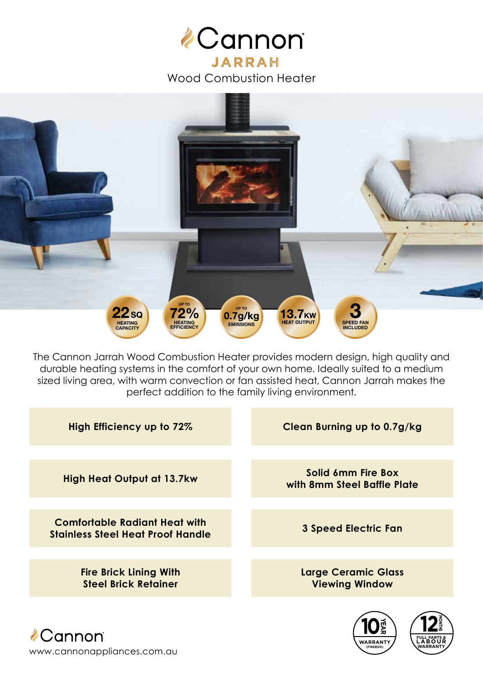



The Cannon Jarrah Wood Combustion Heater provides modern design, high quality and durable heating systems in the comfort of your own home. Ideally suited to a medium sized living area, with warm convection or fan assisted heat, Cannon Jarrah makes the perfect addition to the family living environment.

| High Efficiency up to 72%                                                        | Clean Burning up to 0.7g/kg                         |
|----------------------------------------------------------------------------------|-----------------------------------------------------|
| <b>High Heat Output at 13.7kw</b>                                                | Solid 6mm Fire Box                                  |
|                                                                                  | with 8mm Steel Baffle Plate                         |
| <b>Comfortable Radiant Heat with</b><br><b>Stainless Steel Heat Proof Handle</b> | <b>3 Speed Electric Fan</b>                         |
|                                                                                  |                                                     |
| <b>Fire Brick Lining With</b><br><b>Steel Brick Retainer</b>                     | <b>Large Ceramic Glass</b><br><b>Viewing Window</b> |
|                                                                                  |                                                     |

WARRANT **(FIREBOX)**

**FULL PARTS & LABOUR WARRANTY**

*A*Cannon® www.cannonappliances.com.au